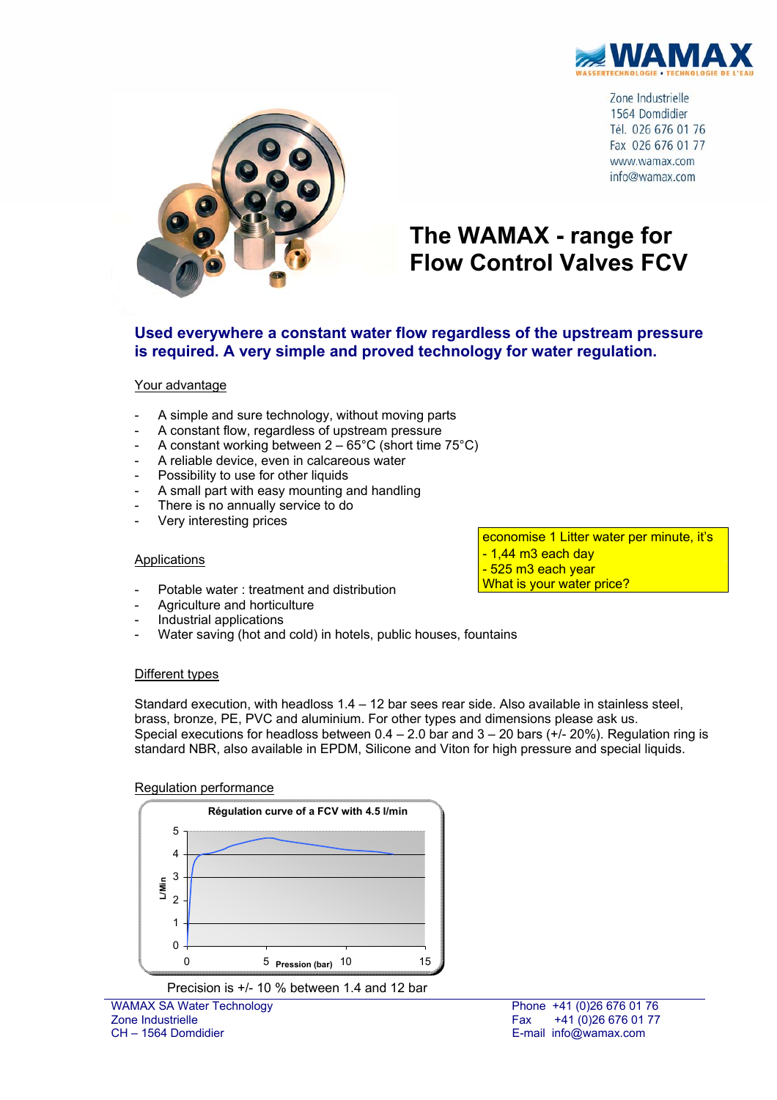

Zone Industrielle 1564 Domdidier Tél. 026 676 01 76 Fax 026 676 01 77 www.wamax.com info@wamax.com



# **The WAMAX - range for Flow Control Valves FCV**

### **Used everywhere a constant water flow regardless of the upstream pressure is required. A very simple and proved technology for water regulation.**

#### Your advantage

- A simple and sure technology, without moving parts
- A constant flow, regardless of upstream pressure
- A constant working between  $2 65^{\circ}$ C (short time 75 $^{\circ}$ C)
- A reliable device, even in calcareous water
- Possibility to use for other liquids
- A small part with easy mounting and handling
- There is no annually service to do
- Very interesting prices

#### **Applications**

economise 1 Litter water per minute, it's  $-1.44$  m<sub>3</sub> each day - 525 m3 each year What is your water price?

- Potable water : treatment and distribution
- Agriculture and horticulture
- Industrial applications
- Water saving (hot and cold) in hotels, public houses, fountains

#### Different types

Standard execution, with headloss  $1.4 - 12$  bar sees rear side. Also available in stainless steel, brass, bronze, PE, PVC and aluminium. For other types and dimensions please ask us. Special executions for headloss between  $0.4 - 2.0$  bar and  $3 - 20$  bars ( $+/- 20$ %). Regulation ring is standard NBR, also available in EPDM, Silicone and Viton for high pressure and special liquids.

#### Regulation performance



Precision is +/- 10 % between 1.4 and 12 bar